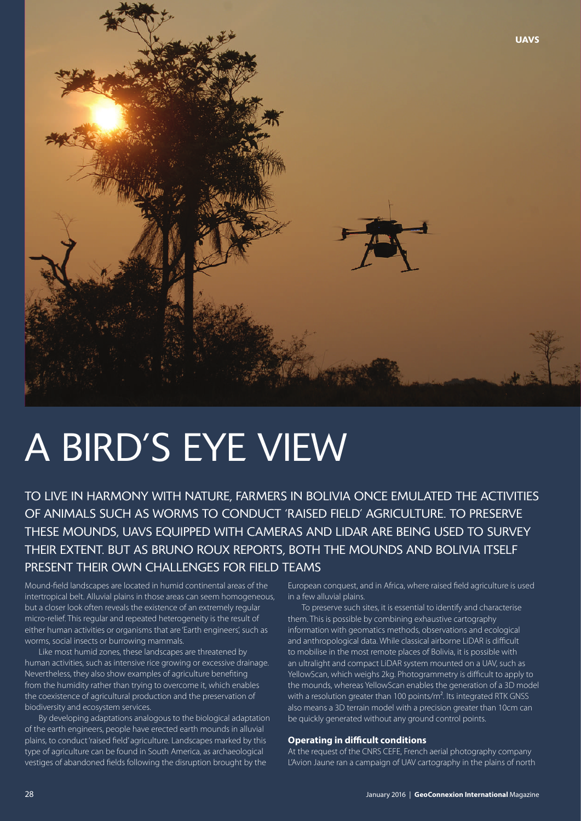

# A BIRD'S EYE VIEW

TO LIVE IN HARMONY WITH NATURE, FARMERS IN BOLIVIA ONCE EMULATED THE ACTIVITIES OF ANIMALS SUCH AS WORMS TO CONDUCT 'RAISED FIELD' AGRICULTURE. TO PRESERVE THESE MOUNDS, UAVS EQUIPPED WITH CAMERAS AND LIDAR ARE BEING USED TO SURVEY THEIR EXTENT. BUT AS BRUNO ROUX REPORTS, BOTH THE MOUNDS AND BOLIVIA ITSELF PRESENT THEIR OWN CHALLENGES FOR FIELD TEAMS

Mound-field landscapes are located in humid continental areas of the intertropical belt. Alluvial plains in those areas can seem homogeneous, but a closer look often reveals the existence of an extremely regular micro-relief. This regular and repeated heterogeneity is the result of either human activities or organisms that are 'Earth engineers', such as worms, social insects or burrowing mammals.

Like most humid zones, these landscapes are threatened by human activities, such as intensive rice growing or excessive drainage. Nevertheless, they also show examples of agriculture benefiting from the humidity rather than trying to overcome it, which enables the coexistence of agricultural production and the preservation of biodiversity and ecosystem services.

By developing adaptations analogous to the biological adaptation of the earth engineers, people have erected earth mounds in alluvial plains, to conduct 'raised field' agriculture. Landscapes marked by this type of agriculture can be found in South America, as archaeological vestiges of abandoned fields following the disruption brought by the

European conquest, and in Africa, where raised field agriculture is used in a few alluvial plains.

To preserve such sites, it is essential to identify and characterise them. This is possible by combining exhaustive cartography information with geomatics methods, observations and ecological and anthropological data. While classical airborne LiDAR is difficult to mobilise in the most remote places of Bolivia, it is possible with an ultralight and compact LiDAR system mounted on a UAV, such as YellowScan, which weighs 2kg. Photogrammetry is difficult to apply to the mounds, whereas YellowScan enables the generation of a 3D model with a resolution greater than 100 points/m<sup>2</sup>. Its integrated RTK GNSS also means a 3D terrain model with a precision greater than 10cm can be quickly generated without any ground control points.

### **Operating in difficult conditions**

At the request of the CNRS CEFE, French aerial photography company L'Avion Jaune ran a campaign of UAV cartography in the plains of north